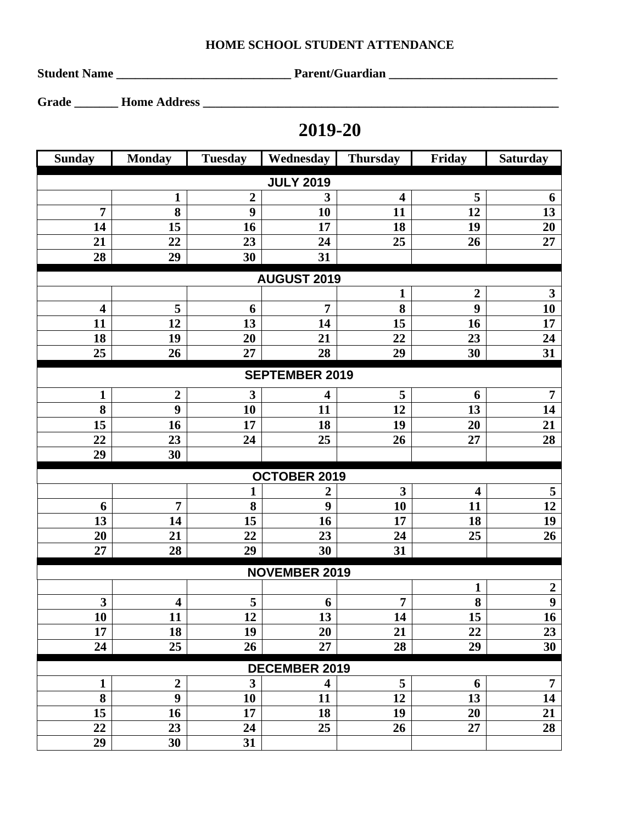## **HOME SCHOOL STUDENT ATTENDANCE**

**Student Name \_\_\_\_\_\_\_\_\_\_\_\_\_\_\_\_\_\_\_\_\_\_\_\_\_\_\_\_ Parent/Guardian \_\_\_\_\_\_\_\_\_\_\_\_\_\_\_\_\_\_\_\_\_\_\_\_\_\_\_** 

**Grade \_\_\_\_\_\_\_ Home Address \_\_\_\_\_\_\_\_\_\_\_\_\_\_\_\_\_\_\_\_\_\_\_\_\_\_\_\_\_\_\_\_\_\_\_\_\_\_\_\_\_\_\_\_\_\_\_\_\_\_\_\_\_\_\_\_\_** 

## **2019-20**

| <b>Sunday</b>           | <b>Monday</b>           | <b>Tuesday</b>   | Wednesday               | <b>Thursday</b>         | Friday                  | <b>Saturday</b>  |  |  |  |  |
|-------------------------|-------------------------|------------------|-------------------------|-------------------------|-------------------------|------------------|--|--|--|--|
| <b>JULY 2019</b>        |                         |                  |                         |                         |                         |                  |  |  |  |  |
|                         | $\mathbf{1}$            | $\boldsymbol{2}$ | 3                       | $\overline{\mathbf{4}}$ | 5                       | 6                |  |  |  |  |
| $\overline{7}$          | 8                       | $\boldsymbol{9}$ | 10                      | 11                      | 12                      | 13               |  |  |  |  |
| 14                      | 15                      | 16               | 17                      | 18                      | 19                      | 20               |  |  |  |  |
| 21                      | 22                      | 23               | 24                      | 25                      | 26                      | 27               |  |  |  |  |
| 28                      | 29                      | 30               | 31                      |                         |                         |                  |  |  |  |  |
|                         |                         |                  | <b>AUGUST 2019</b>      |                         |                         |                  |  |  |  |  |
|                         |                         |                  |                         | $\mathbf{1}$            | $\boldsymbol{2}$        | $\mathbf{3}$     |  |  |  |  |
| $\overline{\mathbf{4}}$ | 5                       | 6                | $\overline{7}$          | 8                       | $\boldsymbol{9}$        | 10               |  |  |  |  |
| 11                      | 12                      | 13               | 14                      | 15                      | 16                      | 17               |  |  |  |  |
| 18                      | 19                      | 20               | 21                      | 22                      | 23                      | 24               |  |  |  |  |
| 25                      | 26                      | 27               | 28                      | 29                      | 30                      | 31               |  |  |  |  |
| <b>SEPTEMBER 2019</b>   |                         |                  |                         |                         |                         |                  |  |  |  |  |
| $\mathbf{1}$            | $\boldsymbol{2}$        | $\mathbf{3}$     | 4                       | 5                       | 6                       | $\overline{7}$   |  |  |  |  |
| 8                       | $\boldsymbol{9}$        | 10               | 11                      | 12                      | 13                      | 14               |  |  |  |  |
| 15                      | 16                      | 17               | 18                      | 19                      | 20                      | 21               |  |  |  |  |
| 22                      | 23                      | 24               | 25                      | 26                      | 27                      | 28               |  |  |  |  |
| 29                      | 30                      |                  |                         |                         |                         |                  |  |  |  |  |
| OCTOBER 2019            |                         |                  |                         |                         |                         |                  |  |  |  |  |
|                         |                         | $\mathbf{1}$     | 2                       | $\overline{\mathbf{3}}$ | $\overline{\mathbf{4}}$ | 5                |  |  |  |  |
| 6                       | $\overline{7}$          | 8                | $\boldsymbol{9}$        | 10                      | 11                      | 12               |  |  |  |  |
| 13                      | 14                      | 15               | 16                      | 17                      | 18                      | 19               |  |  |  |  |
| 20                      | 21                      | 22               | 23                      | 24                      | 25                      | 26               |  |  |  |  |
| 27                      | 28                      | 29               | 30                      | 31                      |                         |                  |  |  |  |  |
| <b>NOVEMBER 2019</b>    |                         |                  |                         |                         |                         |                  |  |  |  |  |
|                         |                         |                  |                         |                         | $\mathbf{1}$            | $\boldsymbol{2}$ |  |  |  |  |
| $\mathbf{3}$            | $\overline{\mathbf{4}}$ | 5                | 6                       | 7                       | 8                       | $\overline{9}$   |  |  |  |  |
| 10                      | 11                      | 12               | 13                      | 14                      | $\overline{15}$         | $\overline{16}$  |  |  |  |  |
| 17                      | 18                      | 19               | 20                      | 21                      | 22                      | 23               |  |  |  |  |
| 24                      | 25                      | 26               | 27                      | 28                      | 29                      | 30               |  |  |  |  |
| <b>DECEMBER 2019</b>    |                         |                  |                         |                         |                         |                  |  |  |  |  |
| $\mathbf{1}$            | $\overline{2}$          | $\mathbf{3}$     | $\overline{\mathbf{4}}$ | 5                       | 6                       | $\overline{7}$   |  |  |  |  |
| 8                       | $\boldsymbol{9}$        | 10               | 11                      | 12                      | 13                      | 14               |  |  |  |  |
| 15                      | 16                      | 17               | 18                      | 19                      | 20                      | 21               |  |  |  |  |
| 22                      | 23                      | 24               | 25                      | 26                      | 27                      | 28               |  |  |  |  |
| 29                      | 30                      | 31               |                         |                         |                         |                  |  |  |  |  |